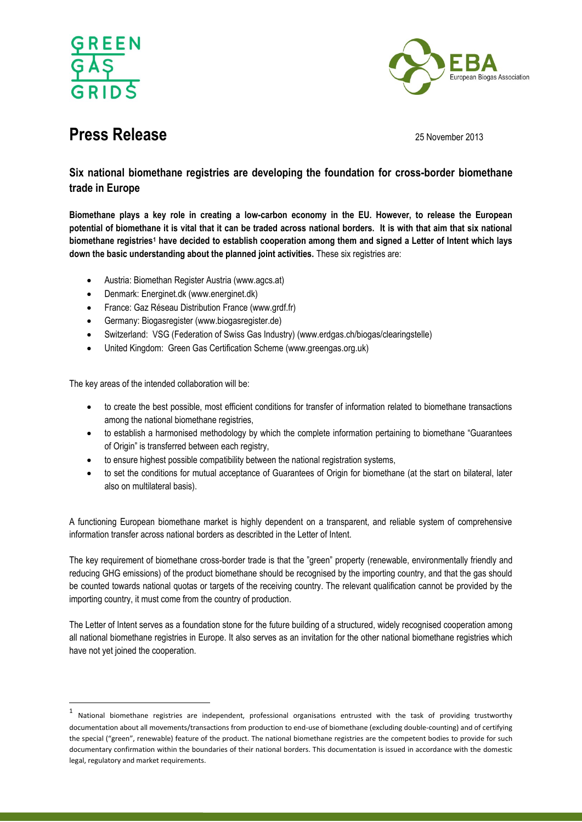



# **Press Release** 2013

# **Six national biomethane registries are developing the foundation for cross-border biomethane trade in Europe**

**Biomethane plays a key role in creating a low-carbon economy in the EU. However, to release the European potential of biomethane it is vital that it can be traded across national borders. It is with that aim that six national biomethane registries<sup>1</sup> have decided to establish cooperation among them and signed a Letter of Intent which lays down the basic understanding about the planned joint activities.** These six registries are:

- Austria: Biomethan Register Austria (www.agcs.at)
- Denmark: Energinet.dk (www.energinet.dk)
- France: Gaz Réseau Distribution France (www.grdf.fr)
- Germany: Biogasregister (www.biogasregister.de)
- Switzerland: VSG (Federation of Swiss Gas Industry) (www.erdgas.ch/biogas/clearingstelle)
- United Kingdom: Green Gas Certification Scheme (www.greengas.org.uk)

The key areas of the intended collaboration will be:

 $\overline{\phantom{a}}$ 

- to create the best possible, most efficient conditions for transfer of information related to biomethane transactions among the national biomethane registries,
- to establish a harmonised methodology by which the complete information pertaining to biomethane "Guarantees of Origin" is transferred between each registry,
- to ensure highest possible compatibility between the national registration systems,
- to set the conditions for mutual acceptance of Guarantees of Origin for biomethane (at the start on bilateral, later also on multilateral basis).

A functioning European biomethane market is highly dependent on a transparent, and reliable system of comprehensive information transfer across national borders as describted in the Letter of Intent.

The key requirement of biomethane cross-border trade is that the "green" property (renewable, environmentally friendly and reducing GHG emissions) of the product biomethane should be recognised by the importing country, and that the gas should be counted towards national quotas or targets of the receiving country. The relevant qualification cannot be provided by the importing country, it must come from the country of production.

The Letter of Intent serves as a foundation stone for the future building of a structured, widely recognised cooperation among all national biomethane registries in Europe. It also serves as an invitation for the other national biomethane registries which have not yet joined the cooperation.

<sup>1</sup> National biomethane registries are independent, professional organisations entrusted with the task of providing trustworthy documentation about all movements/transactions from production to end-use of biomethane (excluding double-counting) and of certifying the special ("green", renewable) feature of the product. The national biomethane registries are the competent bodies to provide for such documentary confirmation within the boundaries of their national borders. This documentation is issued in accordance with the domestic legal, regulatory and market requirements.